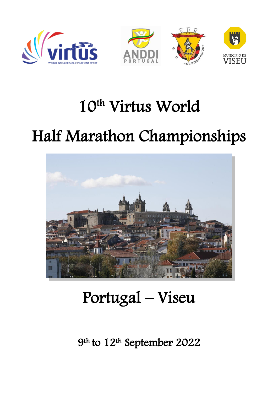



# 10<sup>th</sup> Virtus World

# Half Marathon Championships



# Portugal – Viseu

9th to 12th September 2022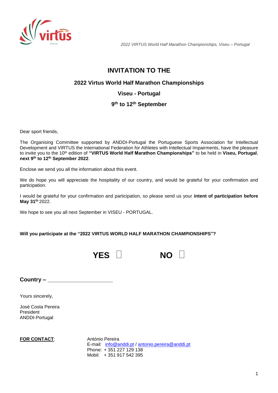

## **INVITATION TO THE**

#### **2022 Virtus World Half Marathon Championships**

#### **Viseu - Portugal**

#### **9 th to 12th September**

Dear sport friends,

The Organising Committee supported by ANDDI-Portugal the Portuguese Sports Association for Intellectual Development and VIRTUS the International Federation for Athletes with Intellectual Impairments, have the pleasure to invite you to the 10th edition of **"VIRTUS World Half Marathon Championships"** to be held in **Viseu, Portugal**, **next 9 th to 12th September 2022**.

Enclose we send you all the information about this event.

We do hope you will appreciate the hospitality of our country, and would be grateful for your confirmation and participation.

I would be grateful for your confirmation and participation, so please send us your **intent of participation before May 31 th** 2022.

We hope to see you all next September in VISEU - PORTUGAL.

**Will you participate at the "2022 VIRTUS WORLD HALF MARATHON CHAMPIONSHIPS"?**





**Country – \_\_\_\_\_\_\_\_\_\_\_\_\_\_\_\_\_\_\_\_\_**

Yours sincerely,

José Costa Pereira President ANDDI-Portugal

#### **FOR CONTACT**: António Pereira

E-mail: [info@anddi.pt](mailto:info@anddi.pt) / [antonio.pereira@anddi.pt](mailto:antonio.pereira@anddi.pt) Phone: + 351 227 129 138 Mobil: + 351 917 542 395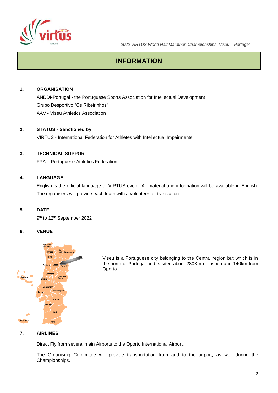

# **INFORMATION**

#### **1. ORGANISATION**

ANDDI-Portugal - the Portuguese Sports Association for Intellectual Development Grupo Desportivo "Os Ribeirinhos" AAV - Viseu Athletics Association

#### **2. STATUS - Sanctioned by**

VIRTUS - International Federation for Athletes with Intellectual Impairments

#### **3. TECHNICAL SUPPORT**

FPA – Portuguese Athletics Federation

#### **4. LANGUAGE**

English is the official language of VIRTUS event. All material and information will be available in English. The organisers will provide each team with a volunteer for translation.

#### **5. DATE**

9<sup>th</sup> to 12<sup>th</sup> September 2022

#### **6. VENUE**



Viseu is a Portuguese city belonging to the Central region but which is in the north of Portugal and is sited about 280Km of Lisbon and 140km from Oporto.

#### **7. AIRLINES**

Direct Fly from several main Airports to the Oporto International Airport.

The Organising Committee will provide transportation from and to the airport, as well during the Championships.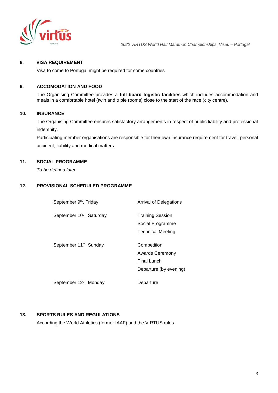

#### **8. VISA REQUIREMENT**

Visa to come to Portugal might be required for some countries

#### **9. ACCOMODATION AND FOOD**

The Organising Committee provides a **full board logistic facilities** which includes accommodation and meals in a comfortable hotel (twin and triple rooms) close to the start of the race (city centre).

#### **10. INSURANCE**

The Organising Committee ensures satisfactory arrangements in respect of public liability and professional indemnity.

Participating member organisations are responsible for their own insurance requirement for travel, personal accident, liability and medical matters.

#### **11. SOCIAL PROGRAMME**

*To be defined later*

#### **12. PROVISIONAL SCHEDULED PROGRAMME**

| September 9th, Friday                 | <b>Arrival of Delegations</b>                                                  |
|---------------------------------------|--------------------------------------------------------------------------------|
| September 10 <sup>th</sup> , Saturday | <b>Training Session</b><br>Social Programme<br><b>Technical Meeting</b>        |
| September 11 <sup>th</sup> , Sunday   | Competition<br><b>Awards Ceremony</b><br>Final Lunch<br>Departure (by evening) |
| September 12 <sup>th</sup> , Monday   | Departure                                                                      |

#### **13. SPORTS RULES AND REGULATIONS**

According the World Athletics (former IAAF) and the VIRTUS rules.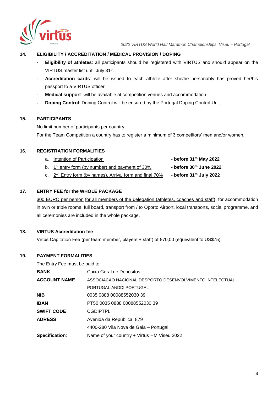

#### **14. ELIGIBILITY / ACCREDITATION / MEDICAL PROVISION / DOPING**

- **- Eligibility of athletes**: all participants should be registered with VIRTUS and should appear on the VIRTUS master list until July 31<sup>th</sup>.
- **- Accreditation cards**: will be issued to each athlete after she/he personably has proved her/his passport to a VIRTUS officer.
- **- Medical support**: will be available at competition venues and accommodation.
- **- Doping Control**: Doping Control will be ensured by the Portugal Doping Control Unit.

#### **15. PARTICIPANTS**

No limit number of participants per country; For the Team Competition a country has to register a minimum of 3 competitors' men and/or women.

#### **16. REGISTRATION FORMALITIES**

| a. Intention of Participation                                 | - before $31th$ May 2022  |
|---------------------------------------------------------------|---------------------------|
| b. $1st$ entry form (by number) and payment of 30%            | - before $30th$ June 2022 |
| c. $2^{nd}$ Entry form (by names), Arrival form and final 70% | - before 31th July 2022   |

#### **17. ENTRY FEE for the WHOLE PACKAGE**

300 EURO per person for all members of the delegation (athletes, coaches and staff), for accommodation in twin or triple rooms, full board, transport from / to Oporto Airport, local transports, social programme, and all ceremonies are included in the whole package.

#### **18. VIRTUS Accreditation fee**

Virtus Capitation Fee (per team member, players + staff) of €70,00 (equivalent to US\$75).

#### **19. PAYMENT FORMALITIES**

The Entry Fee must be paid to:

| <b>BANK</b>         | Caixa Geral de Depósitos                                 |
|---------------------|----------------------------------------------------------|
| <b>ACCOUNT NAME</b> | ASSOCIACAO NACIONAL DESPORTO DESENVOLVIMENTO INTELECTUAL |
|                     | PORTUGAL ANDDI PORTUGAL                                  |
| <b>NIB</b>          | 0035 0888 00088552030 39                                 |
| <b>IBAN</b>         | PT50 0035 0888 00088552030 39                            |
| <b>SWIFT CODE</b>   | <b>CGDIPTPL</b>                                          |
| <b>ADRESS</b>       | Avenida da República, 879                                |
|                     | 4400-280 Vila Nova de Gaia - Portugal                    |
| Specification:      | Name of your country + Virtus HM Viseu 2022              |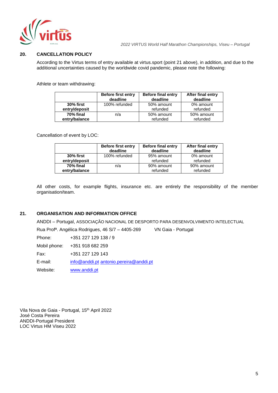

#### **20. CANCELLATION POLICY**

According to the Virtus terms of entry available at virtus.sport (point 21 above), in addition, and due to the additional uncertainties caused by the worldwide covid pandemic, please note the following:

Athlete or team withdrawing:

|               | <b>Before first entry</b><br>deadline | <b>Before final entry</b><br>deadline | <b>After final entry</b><br>deadline |
|---------------|---------------------------------------|---------------------------------------|--------------------------------------|
| 30% first     | 100% refunded                         | 50% amount                            | 0% amount                            |
| entry/deposit |                                       | refunded                              | refunded                             |
| 70% final     | n/a                                   | 50% amount                            | 50% amount                           |
| entry/balance |                                       | refunded                              | refunded                             |

Cancellation of event by LOC:

|               | <b>Before first entry</b><br>deadline | <b>Before final entry</b><br>deadline | After final entry<br>deadline |
|---------------|---------------------------------------|---------------------------------------|-------------------------------|
| 30% first     | 100% refunded                         | 95% amount                            | 0% amount                     |
| entry/deposit |                                       | refunded                              | refunded                      |
| 70% final     | n/a                                   | 90% amount                            | 90% amount                    |
| entry/balance |                                       | refunded                              | refunded                      |

All other costs, for example flights, insurance etc. are entirely the responsibility of the member organisation/team.

#### **21. ORGANISATION AND INFORMATION OFFICE**

ANDDI – Portugal, ASSOCIAÇÃO NACIONAL DE DESPORTO PARA DESENVOLVIMENTO INTELECTUAL

Rua Profª. Angélica Rodrigues, 46 S/7 – 4405-269 VN Gaia - Portugal Phone: +351 227 129 138 / 9

Mobil phone: +351 918 682 259

Fax: +351 227 129 143

E-mail: [info@anddi.pt](mailto:info@anddi.pt) [antonio.pereira@anddi.pt](mailto:antonio.pereira@anddi.pt)

Website: [www.anddi.pt](http://www.anddi.pt/)

Vila Nova de Gaia - Portugal, 15th April 2022 José Costa Pereira ANDDI-Portugal President LOC Virtus HM Viseu 2022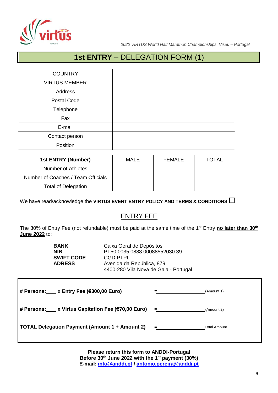

# **1st ENTRY** – DELEGATION FORM (1)

| <b>COUNTRY</b>       |  |
|----------------------|--|
| <b>VIRTUS MEMBER</b> |  |
| Address              |  |
| <b>Postal Code</b>   |  |
| Telephone            |  |
| Fax                  |  |
| E-mail               |  |
| Contact person       |  |
| Position             |  |

| 1st ENTRY (Number)                 | MALE | FEMALE | <b>TOTAL</b> |
|------------------------------------|------|--------|--------------|
| Number of Athletes                 |      |        |              |
| Number of Coaches / Team Officials |      |        |              |
| <b>Total of Delegation</b>         |      |        |              |

We have read/acknowledge the **VIRTUS EVENT ENTRY POLICY AND TERMS & CONDITIONS**  $\Box$ 

### ENTRY FEE

The 30% of Entry Fee (not refundable) must be paid at the same time of the 1st Entry **no later than 30th June 2022** to:

| <b>BANK</b>       | Caixa Geral de Depósitos              |
|-------------------|---------------------------------------|
| <b>NIB</b>        | PT50 0035 0888 00088552030 39         |
| <b>SWIFT CODE</b> | <b>CGDIPTPL</b>                       |
| <b>ADRESS</b>     | Avenida da República, 879             |
|                   | 4400-280 Vila Nova de Gaia - Portugal |

| <b># Persons: <math>\_\_\ x</math> Entry Fee (€300,00 Euro)</b>            |         | (Amount 1)   |
|----------------------------------------------------------------------------|---------|--------------|
| <b># Persons: <math>\quad</math> x Virtus Capitation Fee (€70,00 Euro)</b> |         | (Amount 2)   |
| TOTAL Delegation Payment (Amount 1 + Amount 2)                             | $=$ $-$ | Total Amount |

**Please return this form to ANDDI-Portugal Before 30th June 2022 with the 1 st payment (30%) E-mail: [info@anddi.pt](mailto:info@anddi.pt) / [antonio.pereira@anddi.pt](mailto:antonio.pereira@anddi.pt)**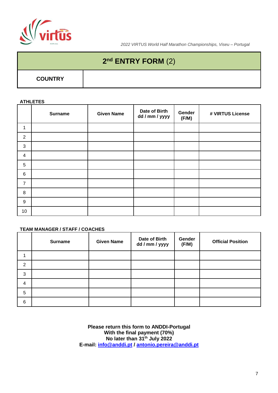

# **2 nd ENTRY FORM** (2) **COUNTRY**

#### **ATHLETES**

|                | <b>Surname</b> | <b>Given Name</b> | Date of Birth<br>dd / mm / yyyy | Gender<br>(F/M) | # VIRTUS License |
|----------------|----------------|-------------------|---------------------------------|-----------------|------------------|
| 1              |                |                   |                                 |                 |                  |
| $\overline{2}$ |                |                   |                                 |                 |                  |
| 3              |                |                   |                                 |                 |                  |
| 4              |                |                   |                                 |                 |                  |
| 5              |                |                   |                                 |                 |                  |
| 6              |                |                   |                                 |                 |                  |
| $\overline{7}$ |                |                   |                                 |                 |                  |
| 8              |                |                   |                                 |                 |                  |
| 9              |                |                   |                                 |                 |                  |
| 10             |                |                   |                                 |                 |                  |

#### **TEAM MANAGER / STAFF / COACHES**

|       | <b>Surname</b> | <b>Given Name</b> | Date of Birth<br>dd / mm / yyyy | Gender<br>(F/M) | <b>Official Position</b> |
|-------|----------------|-------------------|---------------------------------|-----------------|--------------------------|
|       |                |                   |                                 |                 |                          |
| 2     |                |                   |                                 |                 |                          |
| 3     |                |                   |                                 |                 |                          |
| 4     |                |                   |                                 |                 |                          |
| 5     |                |                   |                                 |                 |                          |
| $\,6$ |                |                   |                                 |                 |                          |

**Please return this form to ANDDI-Portugal With the final payment (70%) No later than 31th July 2022 E-mail: [info@anddi.pt](mailto:info@anddi.pt) / [antonio.pereira@anddi.pt](mailto:antonio.pereira@anddi.pt)**